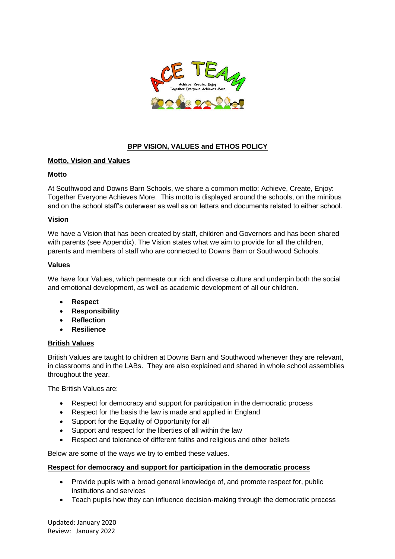

# **BPP VISION, VALUES and ETHOS POLICY**

## **Motto, Vision and Values**

## **Motto**

At Southwood and Downs Barn Schools, we share a common motto: Achieve, Create, Enjoy: Together Everyone Achieves More. This motto is displayed around the schools, on the minibus and on the school staff's outerwear as well as on letters and documents related to either school.

#### **Vision**

We have a Vision that has been created by staff, children and Governors and has been shared with parents (see Appendix). The Vision states what we aim to provide for all the children, parents and members of staff who are connected to Downs Barn or Southwood Schools.

## **Values**

We have four Values, which permeate our rich and diverse culture and underpin both the social and emotional development, as well as academic development of all our children.

- **Respect**
- **Responsibility**
- **Reflection**
- **Resilience**

#### **British Values**

British Values are taught to children at Downs Barn and Southwood whenever they are relevant, in classrooms and in the LABs. They are also explained and shared in whole school assemblies throughout the year.

The British Values are:

- Respect for democracy and support for participation in the democratic process
- Respect for the basis the law is made and applied in England
- Support for the Equality of Opportunity for all
- Support and respect for the liberties of all within the law
- Respect and tolerance of different faiths and religious and other beliefs

Below are some of the ways we try to embed these values.

#### **Respect for democracy and support for participation in the democratic process**

- Provide pupils with a broad general knowledge of, and promote respect for, public institutions and services
- Teach pupils how they can influence decision-making through the democratic process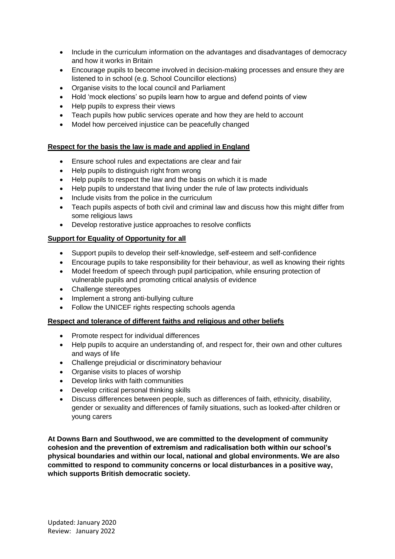- Include in the curriculum information on the advantages and disadvantages of democracy and how it works in Britain
- Encourage pupils to become involved in decision-making processes and ensure they are listened to in school (e.g. School Councillor elections)
- Organise visits to the local council and Parliament
- Hold 'mock elections' so pupils learn how to argue and defend points of view
- Help pupils to express their views
- Teach pupils how public services operate and how they are held to account
- Model how perceived injustice can be peacefully changed

## **Respect for the basis the law is made and applied in England**

- Ensure school rules and expectations are clear and fair
- Help pupils to distinguish right from wrong
- Help pupils to respect the law and the basis on which it is made
- Help pupils to understand that living under the rule of law protects individuals
- Include visits from the police in the curriculum
- Teach pupils aspects of both civil and criminal law and discuss how this might differ from some religious laws
- Develop restorative justice approaches to resolve conflicts

## **Support for Equality of Opportunity for all**

- Support pupils to develop their self-knowledge, self-esteem and self-confidence
- Encourage pupils to take responsibility for their behaviour, as well as knowing their rights
- Model freedom of speech through pupil participation, while ensuring protection of vulnerable pupils and promoting critical analysis of evidence
- Challenge stereotypes
- Implement a strong anti-bullying culture
- Follow the UNICEF rights respecting schools agenda

## **Respect and tolerance of different faiths and religious and other beliefs**

- Promote respect for individual differences
- Help pupils to acquire an understanding of, and respect for, their own and other cultures and ways of life
- Challenge prejudicial or discriminatory behaviour
- Organise visits to places of worship
- Develop links with faith communities
- Develop critical personal thinking skills
- Discuss differences between people, such as differences of faith, ethnicity, disability, gender or sexuality and differences of family situations, such as looked-after children or young carers

**At Downs Barn and Southwood, we are committed to the development of community cohesion and the prevention of extremism and radicalisation both within our school's physical boundaries and within our local, national and global environments. We are also committed to respond to community concerns or local disturbances in a positive way, which supports British democratic society.**